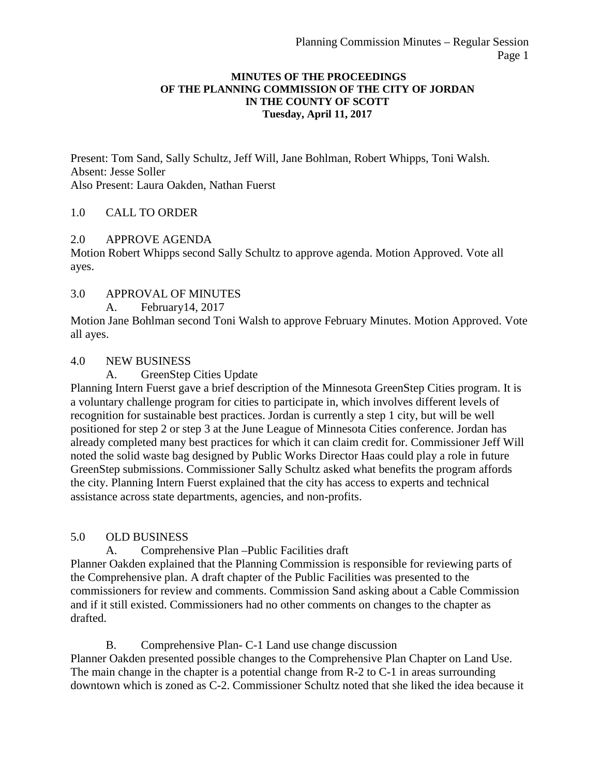#### **MINUTES OF THE PROCEEDINGS OF THE PLANNING COMMISSION OF THE CITY OF JORDAN IN THE COUNTY OF SCOTT Tuesday, April 11, 2017**

Present: Tom Sand, Sally Schultz, Jeff Will, Jane Bohlman, Robert Whipps, Toni Walsh. Absent: Jesse Soller Also Present: Laura Oakden, Nathan Fuerst

# 1.0 CALL TO ORDER

# 2.0 APPROVE AGENDA

Motion Robert Whipps second Sally Schultz to approve agenda. Motion Approved. Vote all ayes.

#### 3.0 APPROVAL OF MINUTES

A. February14, 2017

Motion Jane Bohlman second Toni Walsh to approve February Minutes. Motion Approved. Vote all ayes.

# 4.0 NEW BUSINESS

# A. GreenStep Cities Update

Planning Intern Fuerst gave a brief description of the Minnesota GreenStep Cities program. It is a voluntary challenge program for cities to participate in, which involves different levels of recognition for sustainable best practices. Jordan is currently a step 1 city, but will be well positioned for step 2 or step 3 at the June League of Minnesota Cities conference. Jordan has already completed many best practices for which it can claim credit for. Commissioner Jeff Will noted the solid waste bag designed by Public Works Director Haas could play a role in future GreenStep submissions. Commissioner Sally Schultz asked what benefits the program affords the city. Planning Intern Fuerst explained that the city has access to experts and technical assistance across state departments, agencies, and non-profits.

#### 5.0 OLD BUSINESS

A. Comprehensive Plan –Public Facilities draft

Planner Oakden explained that the Planning Commission is responsible for reviewing parts of the Comprehensive plan. A draft chapter of the Public Facilities was presented to the commissioners for review and comments. Commission Sand asking about a Cable Commission and if it still existed. Commissioners had no other comments on changes to the chapter as drafted.

B. Comprehensive Plan- C-1 Land use change discussion

Planner Oakden presented possible changes to the Comprehensive Plan Chapter on Land Use. The main change in the chapter is a potential change from R-2 to C-1 in areas surrounding downtown which is zoned as C-2. Commissioner Schultz noted that she liked the idea because it